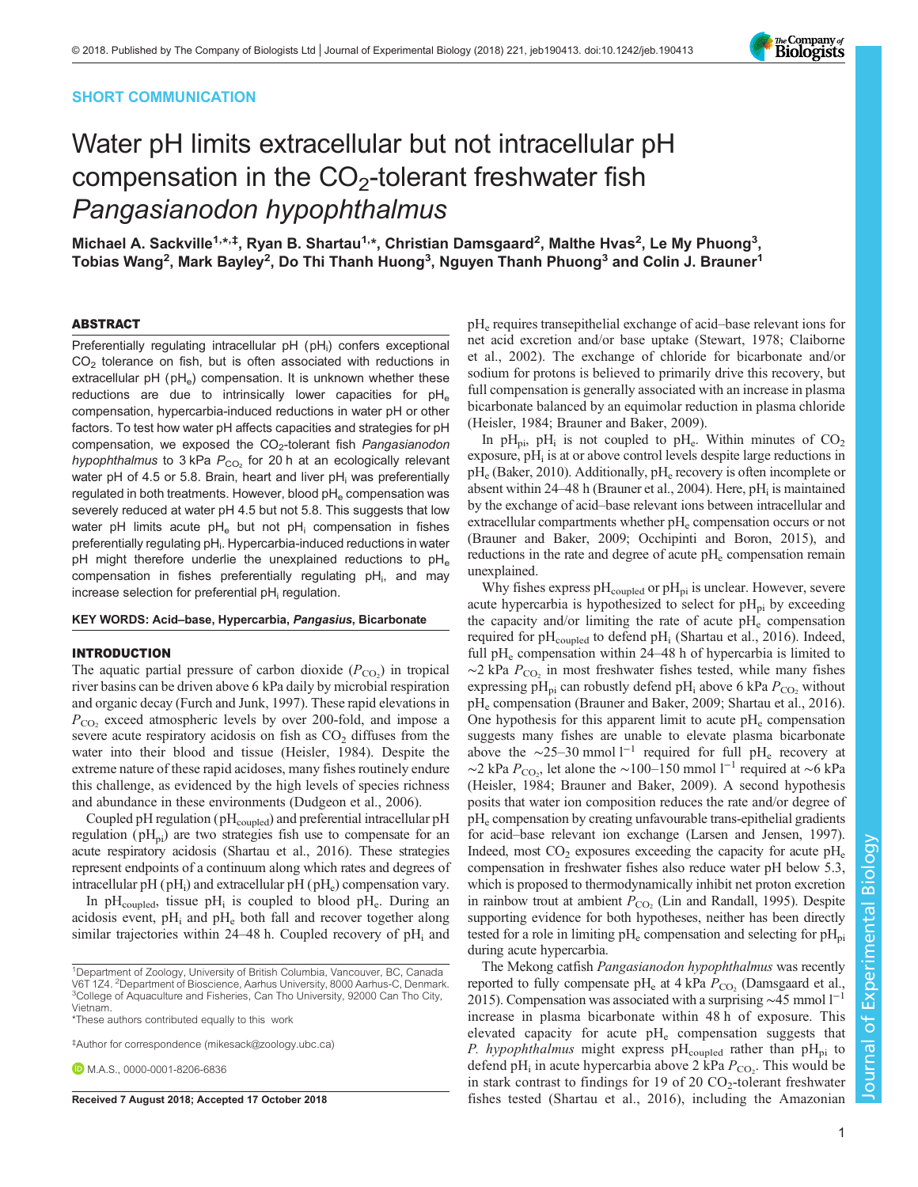## SHORT COMMUNICATION

# Water pH limits extracellular but not intracellular pH compensation in the  $CO<sub>2</sub>$ -tolerant freshwater fish Pangasianodon hypophthalmus

Michael A. Sackville<sup>1,</sup>\*<sup>,‡</sup>, Ryan B. Shartau<sup>1,</sup>\*, Christian Damsgaard<sup>2</sup>, Malthe Hvas<sup>2</sup>, Le My Phuong<sup>3</sup>, Tobias Wang<sup>2</sup>, Mark Bayley<sup>2</sup>, Do Thi Thanh Huong<sup>3</sup>, Nguyen Thanh Phuong<sup>3</sup> and Colin J. Brauner<sup>1</sup>

#### ABSTRACT

Preferentially regulating intracellular pH (pH<sub>i</sub>) confers exceptional  $CO<sub>2</sub>$  tolerance on fish, but is often associated with reductions in extracellular pH ( $pH_e$ ) compensation. It is unknown whether these reductions are due to intrinsically lower capacities for  $pH_e$ compensation, hypercarbia-induced reductions in water pH or other factors. To test how water pH affects capacities and strategies for pH compensation, we exposed the CO<sub>2</sub>-tolerant fish Pangasianodon hypophthalmus to 3 kPa  $P_{CO_2}$  for 20 h at an ecologically relevant water pH of 4.5 or 5.8. Brain, heart and liver  $pH_i$  was preferentially regulated in both treatments. However, blood pH<sub>e</sub> compensation was severely reduced at water pH 4.5 but not 5.8. This suggests that low water pH limits acute  $pH_e$  but not  $pH_i$  compensation in fishes preferentially regulating pH<sub>i</sub>. Hypercarbia-induced reductions in water pH might therefore underlie the unexplained reductions to  $pH_e$ compensation in fishes preferentially regulating pH<sub>i</sub>, and may increase selection for preferential pH<sub>i</sub> regulation.

#### KEY WORDS: Acid–base, Hypercarbia, Pangasius, Bicarbonate

## INTRODUCTION

The aquatic partial pressure of carbon dioxide  $(P_{CO_2})$  in tropical river basins can be driven above 6 kPa daily by microbial respiration and organic decay [\(Furch and Junk, 1997](#page-4-0)). These rapid elevations in  $P_{\rm CO}$  exceed atmospheric levels by over 200-fold, and impose a severe acute respiratory acidosis on fish as  $CO<sub>2</sub>$  diffuses from the water into their blood and tissue ([Heisler, 1984](#page-4-0)). Despite the extreme nature of these rapid acidoses, many fishes routinely endure this challenge, as evidenced by the high levels of species richness and abundance in these environments [\(Dudgeon et al., 2006](#page-4-0)).

Coupled pH regulation ( $pH_{\text{coupled}}$ ) and preferential intracellular pH regulation ( $pH_{pi}$ ) are two strategies fish use to compensate for an acute respiratory acidosis ([Shartau et al., 2016\)](#page-4-0). These strategies represent endpoints of a continuum along which rates and degrees of intracellular  $pH(pH<sub>i</sub>)$  and extracellular  $pH(pH<sub>e</sub>)$  compensation vary.

In pH<sub>coupled</sub>, tissue pH<sub>i</sub> is coupled to blood pH<sub>e</sub>. During an acidosis event,  $pH_i$  and  $pH_e$  both fall and recover together along similar trajectories within  $24-48$  h. Coupled recovery of pH<sub>i</sub> and

 $pH_e$  requires transepithelial exchange of acid–base relevant ions for net acid excretion and/or base uptake ([Stewart, 1978](#page-4-0); [Claiborne](#page-4-0) [et al., 2002\)](#page-4-0). The exchange of chloride for bicarbonate and/or sodium for protons is believed to primarily drive this recovery, but full compensation is generally associated with an increase in plasma bicarbonate balanced by an equimolar reduction in plasma chloride [\(Heisler, 1984](#page-4-0); [Brauner and Baker, 2009\)](#page-4-0).

In pH<sub>pi</sub>, pH<sub>i</sub> is not coupled to pH<sub>e</sub>. Within minutes of  $CO<sub>2</sub>$ exposure,  $pH_i$  is at or above control levels despite large reductions in  $pH_e$  [\(Baker, 2010](#page-4-0)). Additionally,  $pH_e$  recovery is often incomplete or absent within 24–48 h ([Brauner et al., 2004](#page-4-0)). Here, pH<sub>i</sub> is maintained by the exchange of acid–base relevant ions between intracellular and  $extracellular compartments whether pH<sub>e</sub> compensation occurs or not$ [\(Brauner and Baker, 2009; Occhipinti and Boron, 2015](#page-4-0)), and reductions in the rate and degree of acute  $pH_e$  compensation remain unexplained.

Why fishes express  $pH_{\text{coupled}}$  or  $pH_{\text{pi}}$  is unclear. However, severe acute hypercarbia is hypothesized to select for  $pH_{pi}$  by exceeding the capacity and/or limiting the rate of acute  $pH_e$  compensation required for  $pH_{\text{coupled}}$  to defend  $pH_i$  ([Shartau et al., 2016\)](#page-4-0). Indeed, full  $pH_e$  compensation within 24–48 h of hypercarbia is limited to  $\sim$ 2 kPa  $P_{\text{CO}_2}$  in most freshwater fishes tested, while many fishes expressing pH<sub>pi</sub> can robustly defend pH<sub>i</sub> above 6 kPa  $P_{\rm CO}$ , without  $pH_e$  compensation ([Brauner and Baker, 2009; Shartau et al., 2016\)](#page-4-0). One hypothesis for this apparent limit to acute  $pH_e$  compensation suggests many fishes are unable to elevate plasma bicarbonate above the ∼25–30 mmol  $l^{-1}$  required for full pH<sub>e</sub> recovery at  $\sim$ 2 kPa  $P_{\text{CO}_2}$ , let alone the ∼100–150 mmol l<sup>-1</sup> required at ∼6 kPa [\(Heisler, 1984](#page-4-0); [Brauner and Baker, 2009](#page-4-0)). A second hypothesis posits that water ion composition reduces the rate and/or degree of  $pH_e$  compensation by creating unfavourable trans-epithelial gradients for acid–base relevant ion exchange ([Larsen and Jensen, 1997\)](#page-4-0). Indeed, most  $CO_2$  exposures exceeding the capacity for acute  $pH_e$ compensation in freshwater fishes also reduce water pH below 5.3, which is proposed to thermodynamically inhibit net proton excretion in rainbow trout at ambient  $P_{CO<sub>2</sub>}$  ([Lin and Randall, 1995](#page-4-0)). Despite supporting evidence for both hypotheses, neither has been directly tested for a role in limiting  $pH_e$  compensation and selecting for  $pH_{pi}$ during acute hypercarbia.

The Mekong catfish Pangasianodon hypophthalmus was recently reported to fully compensate  $pH_e$  at 4 kPa  $P_{CO_2}$  ([Damsgaard et al.,](#page-4-0) [2015\)](#page-4-0). Compensation was associated with a surprising ∼45 mmol l<sup>-1</sup> increase in plasma bicarbonate within 48 h of exposure. This elevated capacity for acute  $pH_e$  compensation suggests that *P. hypophthalmus* might express  $pH_{\text{coupled}}$  rather than  $pH_{pi}$  to defend pH<sub>i</sub> in acute hypercarbia above 2 kPa  $P_{CO_2}$ . This would be in stark contrast to findings for 19 of 20  $CO_2$ -tolerant freshwater Received 7 August 2018; Accepted 17 October 2018 fishes tested [\(Shartau et al., 2016](#page-4-0)), including the Amazonian

Journal of Experimental Biology

Journal of

Experimental Biology



<sup>&</sup>lt;sup>1</sup>Department of Zoology, University of British Columbia, Vancouver, BC, Canada V6T 1Z4. <sup>2</sup> Department of Bioscience, Aarhus University, 8000 Aarhus-C, Denmark. <sup>3</sup> <sup>3</sup>College of Aquaculture and Fisheries, Can Tho University, 92000 Can Tho City, Vietnam.

<sup>\*</sup>These authors contributed equally to this work

<sup>‡</sup> Author for correspondence ([mikesack@zoology.ubc.ca](mailto:mikesack@zoology.ubc.ca))

**D.**M.A.S., [0000-0001-8206-6836](http://orcid.org/0000-0001-8206-6836)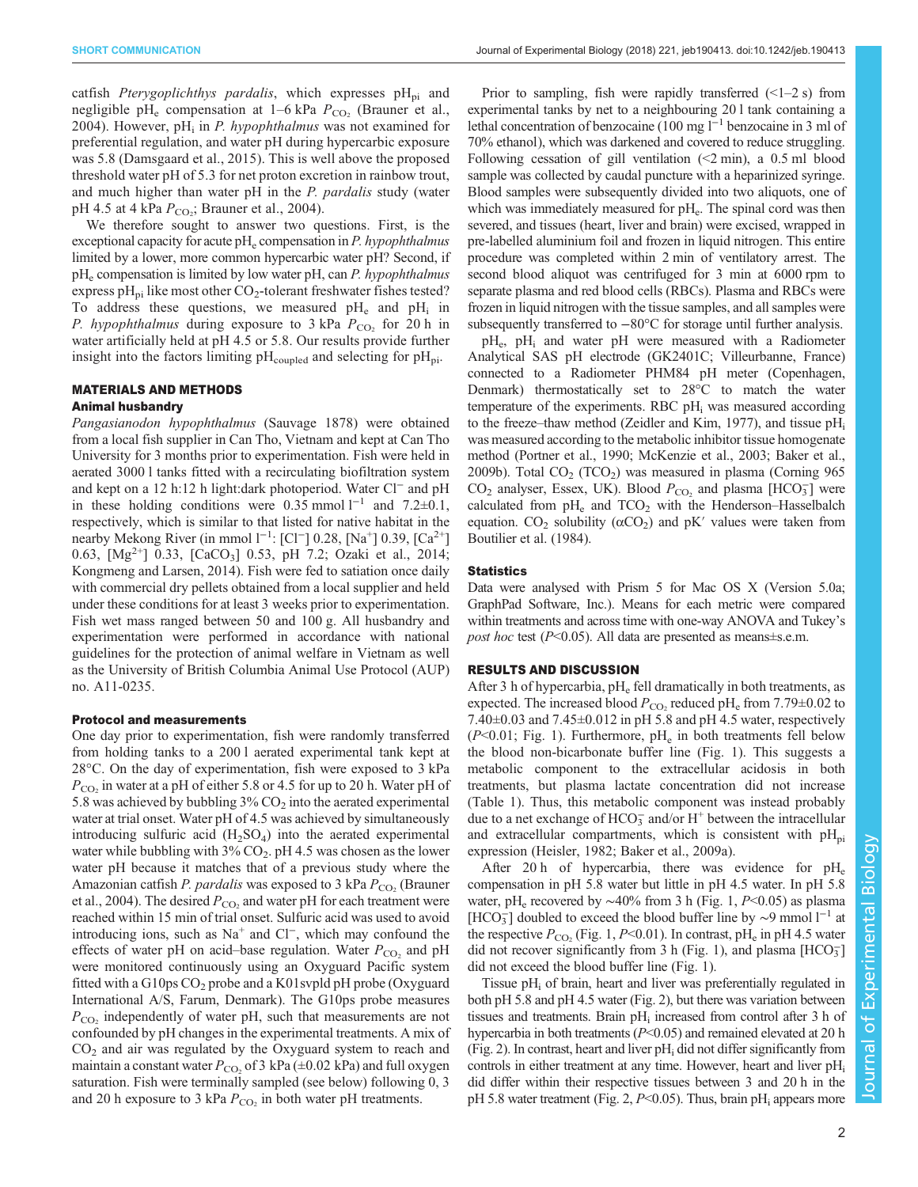catfish Pterygoplichthys pardalis, which expresses  $pH_{pi}$  and negligible pH<sub>e</sub> compensation at  $1-6$  kPa  $P_{CO<sub>2</sub>}$  ([Brauner et al.,](#page-4-0) [2004](#page-4-0)). However, pH<sub>i</sub> in *P. hypophthalmus* was not examined for preferential regulation, and water pH during hypercarbic exposure was 5.8 ([Damsgaard et al., 2015](#page-4-0)). This is well above the proposed threshold water pH of 5.3 for net proton excretion in rainbow trout, and much higher than water pH in the *P. pardalis* study (water pH 4.5 at 4 kPa  $P_{\text{CO}_2}$ ; [Brauner et al., 2004](#page-4-0)).

We therefore sought to answer two questions. First, is the exceptional capacity for acute  $pH_e$  compensation in *P. hypophthalmus* limited by a lower, more common hypercarbic water pH? Second, if  $pH_e$  compensation is limited by low water pH, can *P. hypophthalmus* express pH<sub>pi</sub> like most other  $CO_2$ -tolerant freshwater fishes tested? To address these questions, we measured  $pH_e$  and  $pH_i$  in P. hypophthalmus during exposure to 3 kPa  $P_{CO_2}$  for 20 h in water artificially held at pH 4.5 or 5.8. Our results provide further insight into the factors limiting  $pH_{\text{coupled}}$  and selecting for  $pH_{\text{pi}}$ .

## MATERIALS AND METHODS

## Animal husbandry

Pangasianodon hypophthalmus (Sauvage 1878) were obtained from a local fish supplier in Can Tho, Vietnam and kept at Can Tho University for 3 months prior to experimentation. Fish were held in aerated 3000 l tanks fitted with a recirculating biofiltration system and kept on a 12 h:12 h light:dark photoperiod. Water Cl<sup>−</sup> and pH in these holding conditions were 0.35 mmol  $l^{-1}$  and 7.2±0.1, respectively, which is similar to that listed for native habitat in the nearby Mekong River (in mmol l<sup>-1</sup>: [Cl<sup>-</sup>] 0.28, [Na<sup>+</sup>] 0.39, [Ca<sup>2+</sup>] 0.63,  $[Mg^{2+}]$  0.33,  $[CaCO<sub>3</sub>]$  0.53, pH 7.2; [Ozaki et al., 2014](#page-4-0); [Kongmeng and Larsen, 2014](#page-4-0)). Fish were fed to satiation once daily with commercial dry pellets obtained from a local supplier and held under these conditions for at least 3 weeks prior to experimentation. Fish wet mass ranged between 50 and 100 g. All husbandry and experimentation were performed in accordance with national guidelines for the protection of animal welfare in Vietnam as well as the University of British Columbia Animal Use Protocol (AUP) no. A11-0235.

### Protocol and measurements

One day prior to experimentation, fish were randomly transferred from holding tanks to a 200 l aerated experimental tank kept at 28°C. On the day of experimentation, fish were exposed to 3 kPa  $P_{\rm CO}$ , in water at a pH of either 5.8 or 4.5 for up to 20 h. Water pH of 5.8 was achieved by bubbling  $3\%$  CO<sub>2</sub> into the aerated experimental water at trial onset. Water pH of 4.5 was achieved by simultaneously introducing sulfuric acid  $(H_2SO_4)$  into the aerated experimental water while bubbling with  $3\%$  CO<sub>2</sub>. pH 4.5 was chosen as the lower water pH because it matches that of a previous study where the Amazonian catfish P. pardalis was exposed to 3 kPa  $P_{\rm CO}$ , ([Brauner](#page-4-0) [et al., 2004](#page-4-0)). The desired  $P_{\rm CO_2}$  and water pH for each treatment were reached within 15 min of trial onset. Sulfuric acid was used to avoid introducing ions, such as Na<sup>+</sup> and Cl−, which may confound the effects of water pH on acid–base regulation. Water  $P_{\text{CO}_2}$  and pH were monitored continuously using an Oxyguard Pacific system fitted with a G10ps  $CO_2$  probe and a K01svpld pH probe (Oxyguard International A/S, Farum, Denmark). The G10ps probe measures  $P_{\rm CO}$  independently of water pH, such that measurements are not confounded by pH changes in the experimental treatments. A mix of  $CO<sub>2</sub>$  and air was regulated by the Oxyguard system to reach and maintain a constant water  $P_{CO_2}$  of 3 kPa ( $\pm$ 0.02 kPa) and full oxygen saturation. Fish were terminally sampled (see below) following 0, 3 and 20 h exposure to 3 kPa  $P_{CO_2}$  in both water pH treatments.

Prior to sampling, fish were rapidly transferred  $(\leq 1-2 s)$  from experimental tanks by net to a neighbouring 20 l tank containing a lethal concentration of benzocaine (100 mg l−<sup>1</sup> benzocaine in 3 ml of 70% ethanol), which was darkened and covered to reduce struggling. Following cessation of gill ventilation  $\leq 2$  min), a 0.5 ml blood sample was collected by caudal puncture with a heparinized syringe. Blood samples were subsequently divided into two aliquots, one of which was immediately measured for  $pH_e$ . The spinal cord was then severed, and tissues (heart, liver and brain) were excised, wrapped in pre-labelled aluminium foil and frozen in liquid nitrogen. This entire procedure was completed within 2 min of ventilatory arrest. The second blood aliquot was centrifuged for 3 min at 6000 rpm to separate plasma and red blood cells (RBCs). Plasma and RBCs were frozen in liquid nitrogen with the tissue samples, and all samples were subsequently transferred to  $-80^{\circ}$ C for storage until further analysis.

pHe, pHi and water pH were measured with a Radiometer Analytical SAS pH electrode (GK2401C; Villeurbanne, France) connected to a Radiometer PHM84 pH meter (Copenhagen, Denmark) thermostatically set to 28°C to match the water temperature of the experiments. RBC  $pH_i$  was measured according to the freeze–thaw method [\(Zeidler and Kim, 1977\)](#page-4-0), and tissue pHi was measured according to the metabolic inhibitor tissue homogenate method [\(Portner et al., 1990; McKenzie et al., 2003](#page-4-0); [Baker et al.,](#page-4-0) [2009b](#page-4-0)). Total  $CO<sub>2</sub> (TCO<sub>2</sub>)$  was measured in plasma (Corning 965)  $CO<sub>2</sub>$  analyser, Essex, UK). Blood  $P_{CO<sub>2</sub>}$  and plasma [HCO<sub>3</sub>] were calculated from  $pH_e$  and  $TCO<sub>2</sub>$  with the Henderson–Hasselbalch equation.  $CO_2$  solubility ( $\alpha CO_2$ ) and pK' values were taken from [Boutilier et al. \(1984\)](#page-4-0).

## **Statistics**

Data were analysed with Prism 5 for Mac OS X (Version 5.0a; GraphPad Software, Inc.). Means for each metric were compared within treatments and across time with one-way ANOVA and Tukey's *post hoc* test ( $P<0.05$ ). All data are presented as means $\pm$ s.e.m.

## RESULTS AND DISCUSSION

After 3 h of hypercarbia,  $pH_e$  fell dramatically in both treatments, as expected. The increased blood  $P_{\rm CO}$ , reduced pH<sub>e</sub> from 7.79 $\pm$ 0.02 to 7.40±0.03 and 7.45±0.012 in pH 5.8 and pH 4.5 water, respectively  $(P<0.01$ ; [Fig. 1](#page-2-0)). Furthermore, pH<sub>e</sub> in both treatments fell below the blood non-bicarbonate buffer line [\(Fig. 1\)](#page-2-0). This suggests a metabolic component to the extracellular acidosis in both treatments, but plasma lactate concentration did not increase [\(Table 1\)](#page-2-0). Thus, this metabolic component was instead probably due to a net exchange of  $HCO_3^-$  and/or  $H^+$  between the intracellular and extracellular compartments, which is consistent with  $pH_{pi}$ expression ([Heisler, 1982; Baker et al., 2009a\)](#page-4-0).

After 20 h of hypercarbia, there was evidence for  $pH_e$ compensation in pH 5.8 water but little in pH 4.5 water. In pH 5.8 water, pH<sub>e</sub> recovered by ~40% from 3 h ([Fig. 1,](#page-2-0) P<0.05) as plasma [HCO<sub>3</sub>] doubled to exceed the blood buffer line by ~9 mmol l<sup>−1</sup> at the respective  $P_{\rm CO}$ , [\(Fig. 1](#page-2-0), P<0.01). In contrast, pH<sub>e</sub> in pH 4.5 water did not recover significantly from 3 h [\(Fig. 1](#page-2-0)), and plasma  $[HCO<sub>3</sub>^-]$ did not exceed the blood buffer line [\(Fig. 1\)](#page-2-0).

Tissue  $pH_i$  of brain, heart and liver was preferentially regulated in both pH 5.8 and pH 4.5 water [\(Fig. 2](#page-3-0)), but there was variation between tissues and treatments. Brain pH<sub>i</sub> increased from control after 3 h of hypercarbia in both treatments ( $P<0.05$ ) and remained elevated at 20 h  $(Fig. 2)$ . In contrast, heart and liver pH<sub>i</sub> did not differ significantly from controls in either treatment at any time. However, heart and liver pH<sub>i</sub> did differ within their respective tissues between 3 and 20 h in the pH 5.8 water treatment [\(Fig. 2](#page-3-0),  $P<0.05$ ). Thus, brain pH<sub>i</sub> appears more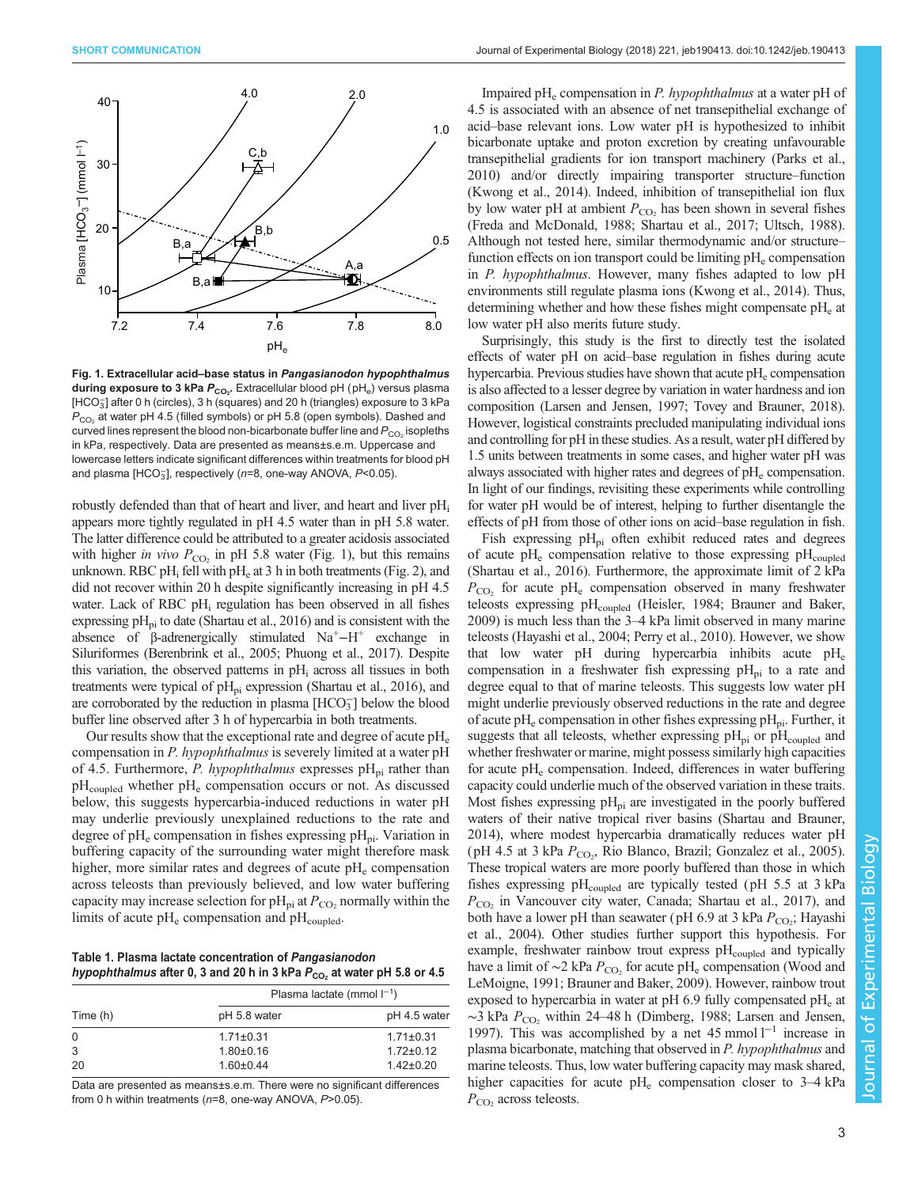<span id="page-2-0"></span>

Fig. 1. Extracellular acid–base status in Pangasianodon hypophthalmus  $\mathsf{during}$  exposure to 3 kPa  $P_{\mathsf{CO}_2}$ . Extracellular blood pH  $(\mathsf{pH}_\mathsf{e})$  versus plasma [HCO $_3^-$ ] after 0 h (circles), 3 h (squares) and 20 h (triangles) exposure to 3 kPa  $P_{CO<sub>2</sub>}$  at water pH 4.5 (filled symbols) or pH 5.8 (open symbols). Dashed and curved lines represent the blood non-bicarbonate buffer line and  $P_{CO_2}$  isopleths in kPa, respectively. Data are presented as means±s.e.m. Uppercase and lowercase letters indicate significant differences within treatments for blood pH and plasma [HCO $_3$ ], respectively (n=8, one-way ANOVA, P<0.05).

robustly defended than that of heart and liver, and heart and liver pH<sub>i</sub> appears more tightly regulated in pH 4.5 water than in pH 5.8 water. The latter difference could be attributed to a greater acidosis associated with higher in vivo  $P_{CO_2}$  in pH 5.8 water (Fig. 1), but this remains unknown. RBC pH<sub>i</sub> fell with pH<sub>e</sub> at 3 h in both treatments [\(Fig. 2\)](#page-3-0), and did not recover within 20 h despite significantly increasing in pH 4.5 water. Lack of RBC pH<sub>i</sub> regulation has been observed in all fishes expressing  $pH_{ni}$  to date [\(Shartau et al., 2016\)](#page-4-0) and is consistent with the absence of  $\beta$ -adrenergically stimulated Na<sup>+</sup> $-H^+$  exchange in Siluriformes [\(Berenbrink et al., 2005; Phuong et al., 2017\)](#page-4-0). Despite this variation, the observed patterns in  $pH_i$  across all tissues in both treatments were typical of  $pH_{pi}$  expression ([Shartau et al., 2016\)](#page-4-0), and are corroborated by the reduction in plasma  $[HCO<sub>3</sub>^-]$  below the blood buffer line observed after 3 h of hypercarbia in both treatments.

Our results show that the exceptional rate and degree of acute  $\rm pH_{e}$ compensation in P. hypophthalmus is severely limited at a water pH of 4.5. Furthermore, P. hypophthalmus expresses  $pH_{pi}$  rather than  $pH_{\text{coupled}}$  whether  $pH_e$  compensation occurs or not. As discussed below, this suggests hypercarbia-induced reductions in water pH may underlie previously unexplained reductions to the rate and degree of  $pH_e$  compensation in fishes expressing  $pH_{pi}$ . Variation in buffering capacity of the surrounding water might therefore mask higher, more similar rates and degrees of acute  $pH_e$  compensation across teleosts than previously believed, and low water buffering capacity may increase selection for  $pH_{pi}$  at  $P_{CO}$ , normally within the limits of acute  $pH_e$  compensation and  $pH_{\text{coupled}}$ .

Table 1. Plasma lactate concentration of Pangasianodon hypophthalmus after 0, 3 and 20 h in 3 kPa  $P_{CO_2}$  at water pH 5.8 or 4.5

| Time (h) | Plasma lactate (mmol $I^{-1}$ ) |                 |
|----------|---------------------------------|-----------------|
|          | pH 5.8 water                    | pH 4.5 water    |
| $\Omega$ | $1.71 \pm 0.31$                 | $1.71 \pm 0.31$ |
| 3        | $1.80 + 0.16$                   | $1.72 \pm 0.12$ |
| 20       | $1.60 \pm 0.44$                 | $1.42 \pm 0.20$ |

Data are presented as means±s.e.m. There were no significant differences from 0 h within treatments (n=8, one-way ANOVA, P>0.05).

Impaired pH<sub>e</sub> compensation in *P. hypophthalmus* at a water pH of 4.5 is associated with an absence of net transepithelial exchange of acid–base relevant ions. Low water pH is hypothesized to inhibit bicarbonate uptake and proton excretion by creating unfavourable transepithelial gradients for ion transport machinery ([Parks et al.,](#page-4-0) [2010\)](#page-4-0) and/or directly impairing transporter structure–function [\(Kwong et al., 2014](#page-4-0)). Indeed, inhibition of transepithelial ion flux by low water pH at ambient  $P_{CO<sub>2</sub>}$  has been shown in several fishes [\(Freda and McDonald, 1988](#page-4-0); [Shartau et al., 2017; Ultsch, 1988\)](#page-4-0). Although not tested here, similar thermodynamic and/or structure– function effects on ion transport could be limiting  $pH_e$  compensation in P. hypophthalmus. However, many fishes adapted to low pH environments still regulate plasma ions ([Kwong et al., 2014](#page-4-0)). Thus, determining whether and how these fishes might compensate  $pH<sub>e</sub>$  at low water pH also merits future study.

Surprisingly, this study is the first to directly test the isolated effects of water pH on acid–base regulation in fishes during acute hypercarbia. Previous studies have shown that acute  $pH_e$  compensation is also affected to a lesser degree by variation in water hardness and ion composition [\(Larsen and Jensen, 1997; Tovey and Brauner, 2018\)](#page-4-0). However, logistical constraints precluded manipulating individual ions and controlling for pH in these studies. As a result, water pH differed by 1.5 units between treatments in some cases, and higher water pH was always associated with higher rates and degrees of  $\rm pH_{e}$  compensation. In light of our findings, revisiting these experiments while controlling for water pH would be of interest, helping to further disentangle the effects of pH from those of other ions on acid–base regulation in fish.

Fish expressing  $pH_{pi}$  often exhibit reduced rates and degrees of acute  $pH_e$  compensation relative to those expressing  $pH_{\text{coupled}}$ [\(Shartau et al., 2016](#page-4-0)). Furthermore, the approximate limit of 2 kPa  $P_{\rm CO}$ , for acute pH<sub>e</sub> compensation observed in many freshwater teleosts expressing  $pH_{\text{coupled}}$  [\(Heisler, 1984; Brauner and Baker,](#page-4-0) [2009\)](#page-4-0) is much less than the 3–4 kPa limit observed in many marine teleosts ([Hayashi et al., 2004; Perry et al., 2010\)](#page-4-0). However, we show that low water pH during hypercarbia inhibits acute  $pH_e$ compensation in a freshwater fish expressing  $pH_{pi}$  to a rate and degree equal to that of marine teleosts. This suggests low water pH might underlie previously observed reductions in the rate and degree of acute pH<sub>e</sub> compensation in other fishes expressing pH<sub>pi</sub>. Further, it suggests that all teleosts, whether expressing  $pH_{pi}$  or  $pH_{coupled}$  and whether freshwater or marine, might possess similarly high capacities for acute pH<sub>e</sub> compensation. Indeed, differences in water buffering capacity could underlie much of the observed variation in these traits. Most fishes expressing  $pH_{pi}$  are investigated in the poorly buffered waters of their native tropical river basins [\(Shartau and Brauner,](#page-4-0) [2014\)](#page-4-0), where modest hypercarbia dramatically reduces water pH (pH 4.5 at 3 kPa  $P_{CO<sub>2</sub>}$ , Rio Blanco, Brazil; [Gonzalez et al., 2005\)](#page-4-0). These tropical waters are more poorly buffered than those in which fishes expressing  $pH_{\text{coupled}}$  are typically tested ( $pH$  5.5 at 3 kPa  $P_{\rm CO}$  in Vancouver city water, Canada; [Shartau et al., 2017](#page-4-0)), and both have a lower pH than seawater (pH 6.9 at 3 kPa  $P_{\text{CO}_2}$ ; [Hayashi](#page-4-0) [et al., 2004](#page-4-0)). Other studies further support this hypothesis. For example, freshwater rainbow trout express pHcoupled and typically have a limit of  $\sim$ 2 kPa  $P_{\rm CO_2}$  for acute pH<sub>e</sub> compensation ([Wood and](#page-4-0) [LeMoigne, 1991; Brauner and Baker, 2009\)](#page-4-0). However, rainbow trout exposed to hypercarbia in water at  $pH_0$  fully compensated  $pH_e$  at  $\sim$ 3 kPa  $P_{CO_2}$  within 24–48 h ([Dimberg, 1988](#page-4-0); [Larsen and Jensen,](#page-4-0) [1997\)](#page-4-0). This was accomplished by a net 45 mmol l−<sup>1</sup> increase in plasma bicarbonate, matching that observed in P. hypophthalmus and marine teleosts. Thus, low water buffering capacity may mask shared, higher capacities for acute  $pH_e$  compensation closer to 3–4 kPa  $P_{\rm CO}$ , across teleosts.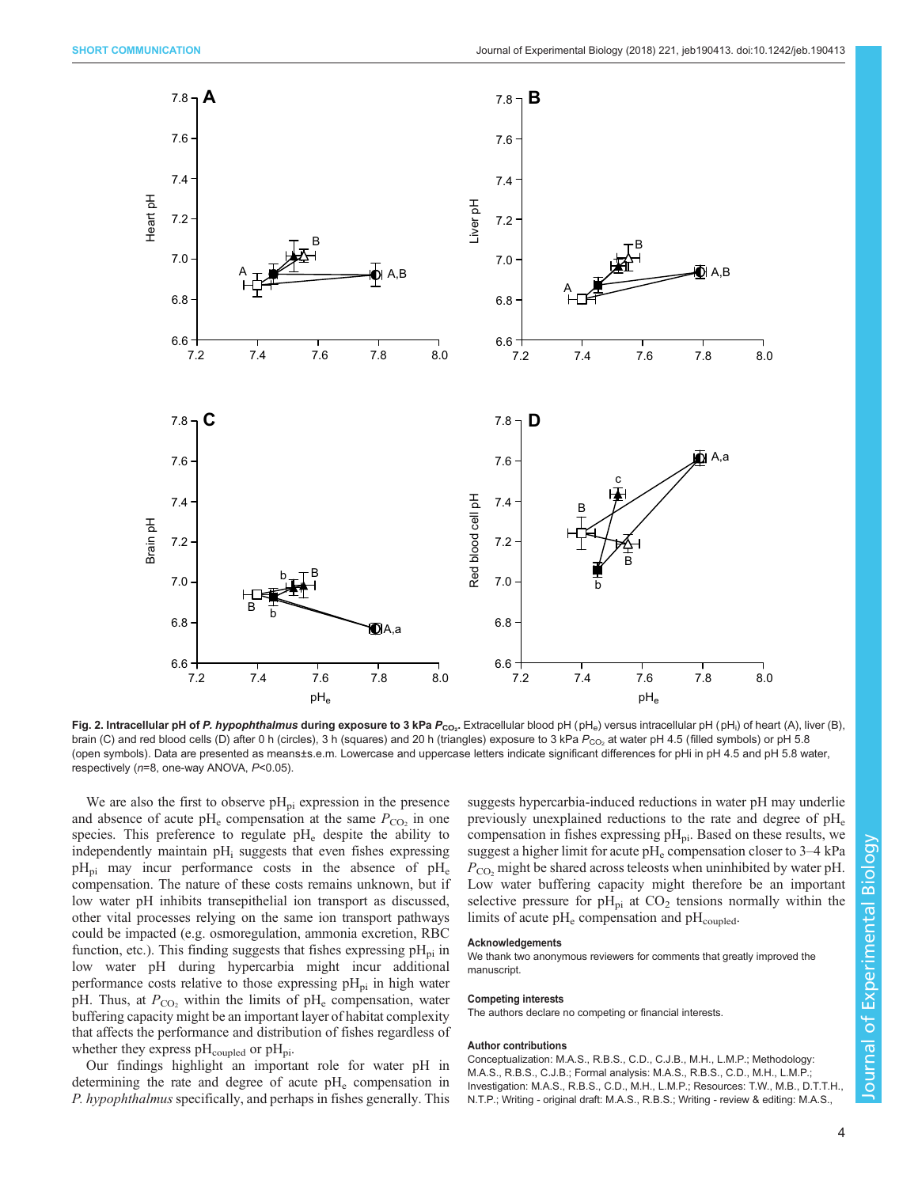<span id="page-3-0"></span>

**Fig. 2. Intracellular pH of** *P. hypophthalmus* **during exposure to 3 kPa** *P<sub>CO2</sub>.* **Extracellular blood pH (pH<sub>e</sub>) versus intracellular pH (pH<sub>i</sub>) of heart (A), liver (B),** brain (C) and red blood cells (D) after 0 h (circles), 3 h (squares) and 20 h (triangles) exposure to 3 kPa  $P_{CO}$ , at water pH 4.5 (filled symbols) or pH 5.8 (open symbols). Data are presented as means±s.e.m. Lowercase and uppercase letters indicate significant differences for pHi in pH 4.5 and pH 5.8 water, respectively (n=8, one-way ANOVA, P<0.05).

We are also the first to observe  $pH_{pi}$  expression in the presence and absence of acute  $pH_e$  compensation at the same  $P_{CO<sub>2</sub>}$  in one species. This preference to regulate  $pH_e$  despite the ability to independently maintain  $pH_i$  suggests that even fishes expressing  $pH_{\text{pi}}$  may incur performance costs in the absence of  $pH_{\text{e}}$ compensation. The nature of these costs remains unknown, but if low water pH inhibits transepithelial ion transport as discussed, other vital processes relying on the same ion transport pathways could be impacted (e.g. osmoregulation, ammonia excretion, RBC function, etc.). This finding suggests that fishes expressing  $pH_{pi}$  in low water pH during hypercarbia might incur additional performance costs relative to those expressing  $pH_{pi}$  in high water pH. Thus, at  $P_{CO_2}$  within the limits of pH<sub>e</sub> compensation, water buffering capacity might be an important layer of habitat complexity that affects the performance and distribution of fishes regardless of whether they express  $pH_{\text{coupled}}$  or  $pH_{\text{pi}}$ .

Our findings highlight an important role for water pH in determining the rate and degree of acute  $pH_e$  compensation in P. hypophthalmus specifically, and perhaps in fishes generally. This

suggests hypercarbia-induced reductions in water pH may underlie previously unexplained reductions to the rate and degree of  $pH_e$ compensation in fishes expressing  $pH_{pi}$ . Based on these results, we suggest a higher limit for acute  $pH_e$  compensation closer to  $3-4$  kPa  $P_{\rm CO}$ , might be shared across teleosts when uninhibited by water pH. Low water buffering capacity might therefore be an important selective pressure for  $pH_{pi}$  at  $CO<sub>2</sub>$  tensions normally within the limits of acute  $pH_e$  compensation and  $pH_{\text{coupled}}$ .

#### **Acknowledgements**

We thank two anonymous reviewers for comments that greatly improved the manuscript.

#### Competing interests

The authors declare no competing or financial interests.

#### Author contributions

Conceptualization: M.A.S., R.B.S., C.D., C.J.B., M.H., L.M.P.; Methodology: M.A.S., R.B.S., C.J.B.; Formal analysis: M.A.S., R.B.S., C.D., M.H., L.M.P.; Investigation: M.A.S., R.B.S., C.D., M.H., L.M.P.; Resources: T.W., M.B., D.T.T.H., N.T.P.; Writing - original draft: M.A.S., R.B.S.; Writing - review & editing: M.A.S.,